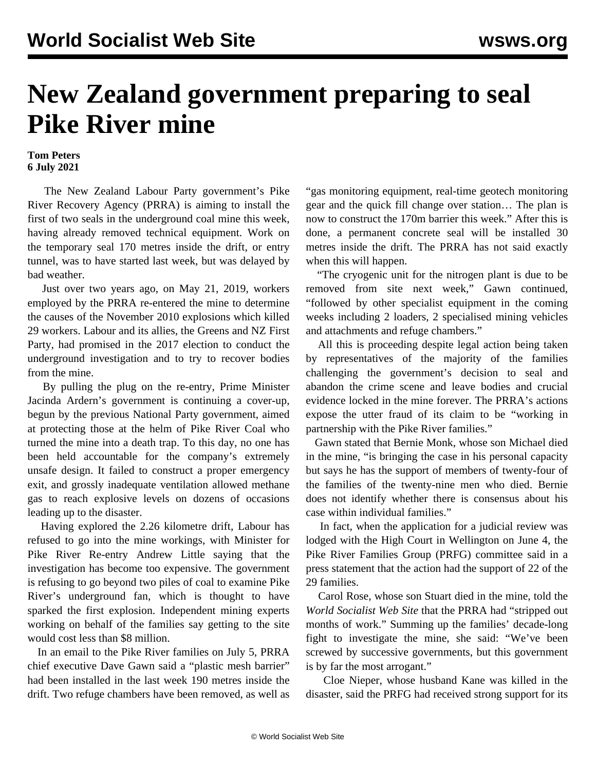## **New Zealand government preparing to seal Pike River mine**

## **Tom Peters 6 July 2021**

 The New Zealand Labour Party government's Pike River Recovery Agency (PRRA) is aiming to install the first of two seals in the underground coal mine this week, having already removed technical equipment. Work on the temporary seal 170 metres inside the drift, or entry tunnel, was to have started last week, but was delayed by bad weather.

 Just over two years ago, on May 21, 2019, workers employed by the PRRA re-entered the mine to determine the causes of the November 2010 explosions which killed 29 workers. Labour and its allies, the Greens and NZ First Party, had promised in the 2017 election to conduct the underground investigation and to try to recover bodies from the mine.

 By pulling the plug on the re-entry, Prime Minister Jacinda Ardern's government is continuing a cover-up, begun by the previous National Party government, aimed at protecting those at the helm of Pike River Coal who turned the mine into a death trap. To this day, no one has been held accountable for the company's extremely unsafe design. It failed to construct a proper emergency exit, and grossly inadequate ventilation allowed methane gas to reach explosive levels on dozens of occasions leading up to the disaster.

 Having explored the 2.26 kilometre drift, Labour has refused to go into the mine workings, with Minister for Pike River Re-entry Andrew Little saying that the investigation has become too expensive. The government is refusing to go beyond two piles of coal to examine Pike River's underground fan, which is thought to have sparked the first explosion. Independent mining experts working on behalf of the families say getting to the site would cost less than \$8 million.

 In an email to the Pike River families on July 5, PRRA chief executive Dave Gawn said a "plastic mesh barrier" had been installed in the last week 190 metres inside the drift. Two refuge chambers have been removed, as well as "gas monitoring equipment, real-time geotech monitoring gear and the quick fill change over station… The plan is now to construct the 170m barrier this week." After this is done, a permanent concrete seal will be installed 30 metres inside the drift. The PRRA has not said exactly when this will happen.

 "The cryogenic unit for the nitrogen plant is due to be removed from site next week," Gawn continued, "followed by other specialist equipment in the coming weeks including 2 loaders, 2 specialised mining vehicles and attachments and refuge chambers."

 All this is proceeding despite legal action being taken by representatives of the majority of the families challenging the government's decision to seal and abandon the crime scene and leave bodies and crucial evidence locked in the mine forever. The PRRA's actions expose the utter fraud of its claim to be "working in partnership with the Pike River families."

 Gawn stated that Bernie Monk, whose son Michael died in the mine, "is bringing the case in his personal capacity but says he has the support of members of twenty-four of the families of the twenty-nine men who died. Bernie does not identify whether there is consensus about his case within individual families."

 In fact, when the application for a judicial review was [lodged](/en/articles/2021/06/07/pike-j07.html) with the High Court in Wellington on June 4, the Pike River Families Group (PRFG) committee said in a press statement that the action had the support of 22 of the 29 families.

 Carol Rose, whose son Stuart died in the mine, told the *World Socialist Web Site* that the PRRA had "stripped out months of work." Summing up the families' decade-long fight to investigate the mine, she said: "We've been screwed by successive governments, but this government is by far the most arrogant."

 Cloe Nieper, whose husband Kane was killed in the disaster, said the PRFG had received strong support for its